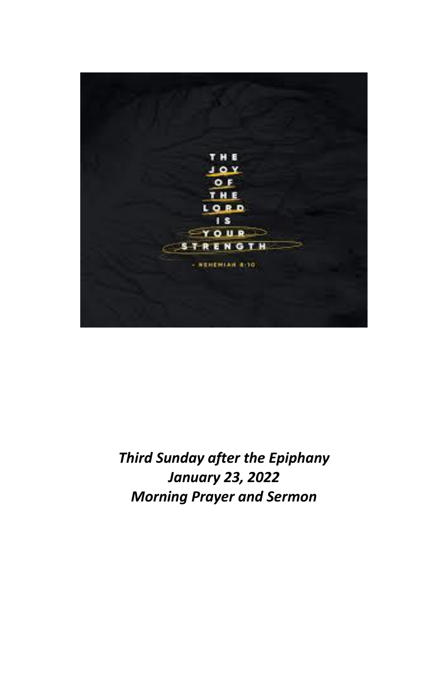

# *Third Sunday after the Epiphany January 23, 2022 Morning Prayer and Sermon*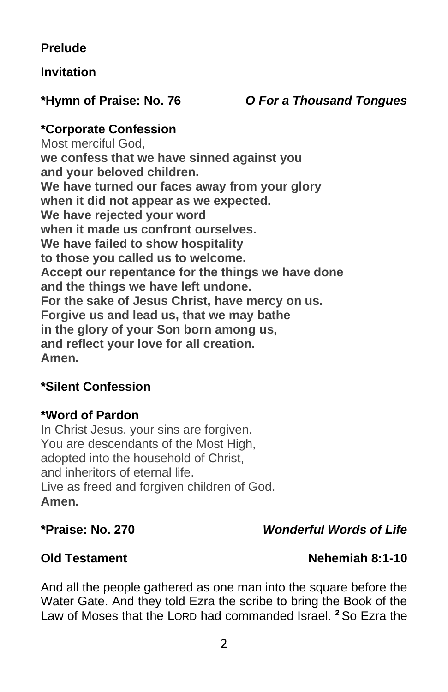# **Prelude**

### **Invitation**

### **\*Hymn of Praise: No. 76** *O For a Thousand Tongues*

### **\*Corporate Confession**

Most merciful God, **we confess that we have sinned against you and your beloved children. We have turned our faces away from your glory when it did not appear as we expected. We have rejected your word when it made us confront ourselves. We have failed to show hospitality to those you called us to welcome. Accept our repentance for the things we have done and the things we have left undone. For the sake of Jesus Christ, have mercy on us. Forgive us and lead us, that we may bathe in the glory of your Son born among us, and reflect your love for all creation. Amen.**

### **\*Silent Confession**

### **\*Word of Pardon**

In Christ Jesus, your sins are forgiven. You are descendants of the Most High, adopted into the household of Christ, and inheritors of eternal life. Live as freed and forgiven children of God. **Amen.**

### **\*Praise: No. 270** *Wonderful Words of Life*

### **Old Testament Nehemiah 8:1-10**

And all the people gathered as one man into the square before the Water Gate. And they told Ezra the scribe to bring the Book of the Law of Moses that the LORD had commanded Israel. **<sup>2</sup>** So Ezra the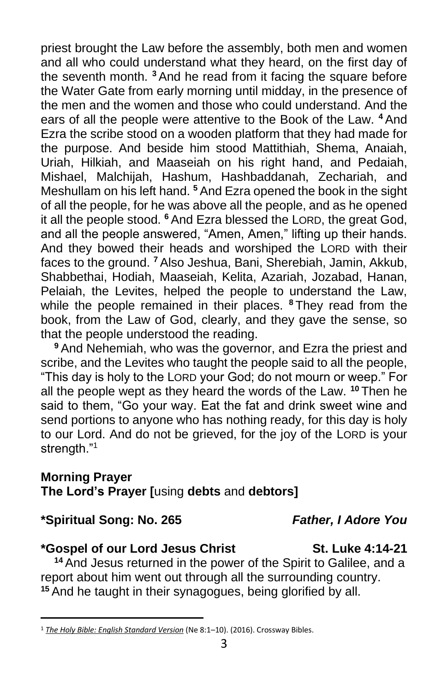priest brought the Law before the assembly, both men and women and all who could understand what they heard, on the first day of the seventh month. **<sup>3</sup>** And he read from it facing the square before the Water Gate from early morning until midday, in the presence of the men and the women and those who could understand. And the ears of all the people were attentive to the Book of the Law. **<sup>4</sup>** And Ezra the scribe stood on a wooden platform that they had made for the purpose. And beside him stood Mattithiah, Shema, Anaiah, Uriah, Hilkiah, and Maaseiah on his right hand, and Pedaiah, Mishael, Malchijah, Hashum, Hashbaddanah, Zechariah, and Meshullam on his left hand. **<sup>5</sup>** And Ezra opened the book in the sight of all the people, for he was above all the people, and as he opened it all the people stood. **<sup>6</sup>** And Ezra blessed the LORD, the great God, and all the people answered, "Amen, Amen," lifting up their hands. And they bowed their heads and worshiped the LORD with their faces to the ground. **<sup>7</sup>** Also Jeshua, Bani, Sherebiah, Jamin, Akkub, Shabbethai, Hodiah, Maaseiah, Kelita, Azariah, Jozabad, Hanan, Pelaiah, the Levites, helped the people to understand the Law, while the people remained in their places. **<sup>8</sup>** They read from the book, from the Law of God, clearly, and they gave the sense, so that the people understood the reading.

**<sup>9</sup>** And Nehemiah, who was the governor, and Ezra the priest and scribe, and the Levites who taught the people said to all the people, "This day is holy to the LORD your God; do not mourn or weep." For all the people wept as they heard the words of the Law. **<sup>10</sup>** Then he said to them, "Go your way. Eat the fat and drink sweet wine and send portions to anyone who has nothing ready, for this day is holy to our Lord. And do not be grieved, for the joy of the LORD is your strength."<sup>1</sup>

### **Morning Prayer**

**The Lord's Prayer [**using **debts** and **debtors]**

**\*Spiritual Song: No. 265** *Father, I Adore You*

### **\*Gospel of our Lord Jesus Christ St. Luke 4:14-21**

**<sup>14</sup>** And Jesus returned in the power of the Spirit to Galilee, and a report about him went out through all the surrounding country. **<sup>15</sup>** And he taught in their synagogues, being glorified by all.

<sup>1</sup> *[The Holy Bible: English Standard Version](https://ref.ly/logosres/esv?ref=BibleESV.Ne8.1&off=21&ctx=zra+Reads+the+Law%0a8%C2%A0~And+all+the+people+g)* (Ne 8:1–10). (2016). Crossway Bibles.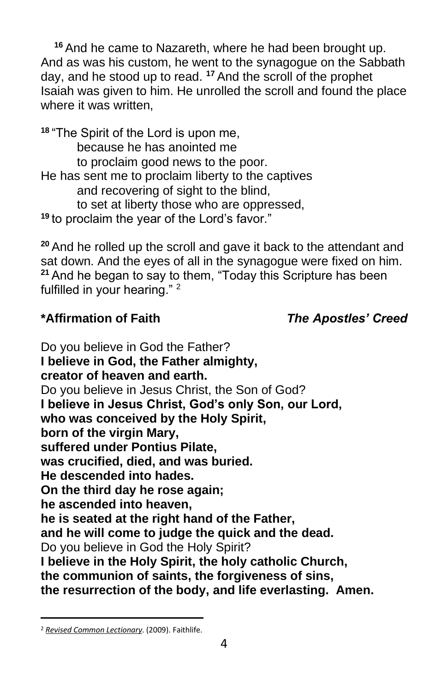**<sup>16</sup>** And he came to Nazareth, where he had been brought up. And as was his custom, he went to the synagogue on the Sabbath day, and he stood up to read. **<sup>17</sup>** And the scroll of the prophet Isaiah was given to him. He unrolled the scroll and found the place where it was written.

**<sup>18</sup>** "The Spirit of the Lord is upon me, because he has anointed me to proclaim good news to the poor. He has sent me to proclaim liberty to the captives and recovering of sight to the blind, to set at liberty those who are oppressed, **<sup>19</sup>** to proclaim the year of the Lord's favor."

**<sup>20</sup>** And he rolled up the scroll and gave it back to the attendant and sat down. And the eyes of all in the synagogue were fixed on him. **<sup>21</sup>** And he began to say to them, "Today this Scripture has been fulfilled in your hearing."<sup>2</sup>

# **\*Affirmation of Faith** *The Apostles' Creed*

Do you believe in God the Father? **I believe in God, the Father almighty, creator of heaven and earth.** Do you believe in Jesus Christ, the Son of God? **I believe in Jesus Christ, God's only Son, our Lord, who was conceived by the Holy Spirit, born of the virgin Mary, suffered under Pontius Pilate, was crucified, died, and was buried. He descended into hades. On the third day he rose again; he ascended into heaven, he is seated at the right hand of the Father, and he will come to judge the quick and the dead.** Do you believe in God the Holy Spirit? **I believe in the Holy Spirit, the holy catholic Church, the communion of saints, the forgiveness of sins, the resurrection of the body, and life everlasting. Amen.**

<sup>2</sup> *[Revised Common Lectionary](https://ref.ly/logosres/rcl?ref=YearMonthDay.1-23-2022&off=337&ctx=thians+12:12%E2%80%9331a%0a+%0aGOSPEL%0aLuke+4:14%E2%80%9321%0a~+)*. (2009). Faithlife.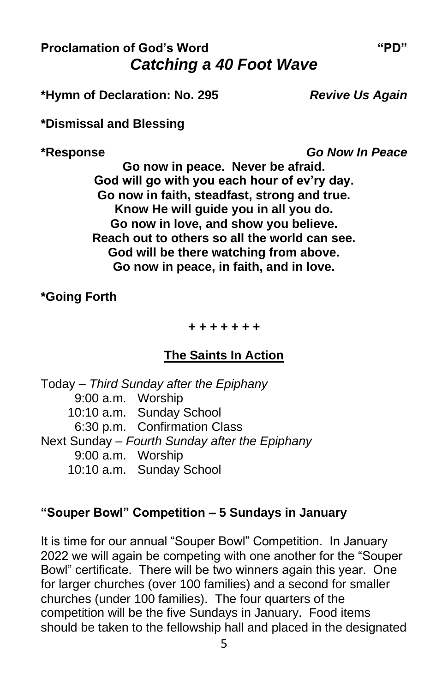# **Proclamation of God's Word "PD"** *Catching a 40 Foot Wave*

**\*Hymn of Declaration: No. 295** *Revive Us Again*

**\*Dismissal and Blessing**

**\*Response** *Go Now In Peace*

**Go now in peace. Never be afraid. God will go with you each hour of ev'ry day. Go now in faith, steadfast, strong and true. Know He will guide you in all you do. Go now in love, and show you believe. Reach out to others so all the world can see. God will be there watching from above. Go now in peace, in faith, and in love.**

**\*Going Forth**

*+ + + + + + +*

### **The Saints In Action**

Today – *Third Sunday after the Epiphany* 9:00 a.m. Worship 10:10 a.m. Sunday School 6:30 p.m. Confirmation Class Next Sunday – *Fourth Sunday after the Epiphany* 9:00 a.m. Worship 10:10 a.m. Sunday School

### **"Souper Bowl" Competition – 5 Sundays in January**

It is time for our annual "Souper Bowl" Competition. In January 2022 we will again be competing with one another for the "Souper Bowl" certificate. There will be two winners again this year. One for larger churches (over 100 families) and a second for smaller churches (under 100 families). The four quarters of the competition will be the five Sundays in January. Food items should be taken to the fellowship hall and placed in the designated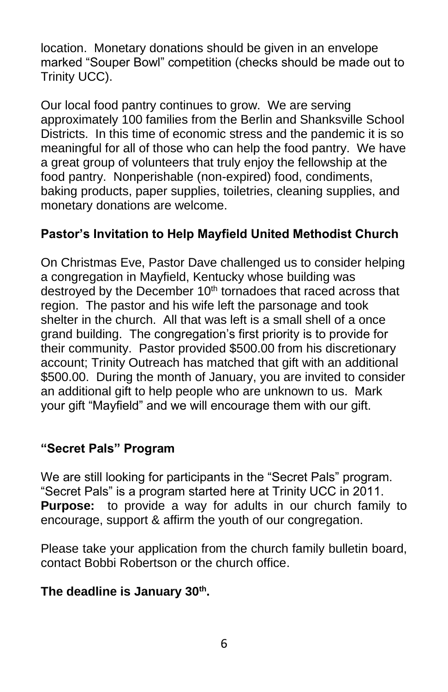location. Monetary donations should be given in an envelope marked "Souper Bowl" competition (checks should be made out to Trinity UCC).

Our local food pantry continues to grow. We are serving approximately 100 families from the Berlin and Shanksville School Districts. In this time of economic stress and the pandemic it is so meaningful for all of those who can help the food pantry. We have a great group of volunteers that truly enjoy the fellowship at the food pantry. Nonperishable (non-expired) food, condiments, baking products, paper supplies, toiletries, cleaning supplies, and monetary donations are welcome.

# **Pastor's Invitation to Help Mayfield United Methodist Church**

On Christmas Eve, Pastor Dave challenged us to consider helping a congregation in Mayfield, Kentucky whose building was destroyed by the December 10<sup>th</sup> tornadoes that raced across that region. The pastor and his wife left the parsonage and took shelter in the church. All that was left is a small shell of a once grand building. The congregation's first priority is to provide for their community. Pastor provided \$500.00 from his discretionary account; Trinity Outreach has matched that gift with an additional \$500.00. During the month of January, you are invited to consider an additional gift to help people who are unknown to us. Mark your gift "Mayfield" and we will encourage them with our gift.

### **"Secret Pals" Program**

We are still looking for participants in the "Secret Pals" program. "Secret Pals" is a program started here at Trinity UCC in 2011. **Purpose:** to provide a way for adults in our church family to encourage, support & affirm the youth of our congregation.

Please take your application from the church family bulletin board, contact Bobbi Robertson or the church office.

### **The deadline is January 30th .**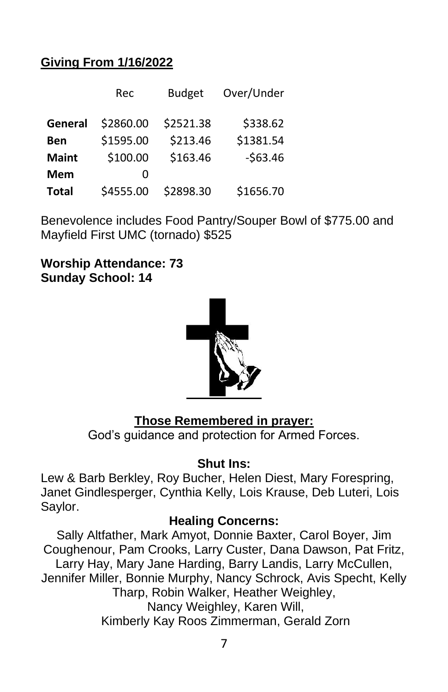# **Giving From 1/16/2022**

|              | Rec       | <b>Budget</b> | Over/Under |
|--------------|-----------|---------------|------------|
| General      | \$2860.00 | \$2521.38     | \$338.62   |
| Ben          | \$1595.00 | \$213.46      | \$1381.54  |
| <b>Maint</b> | \$100.00  | \$163.46      | $-563.46$  |
| Mem          | Ω         |               |            |
| <b>Total</b> | \$4555.00 | \$2898.30     | \$1656.70  |

Benevolence includes Food Pantry/Souper Bowl of \$775.00 and Mayfield First UMC (tornado) \$525

**Worship Attendance: 73 Sunday School: 14**



### **Those Remembered in prayer:**

God's guidance and protection for Armed Forces.

### **Shut Ins:**

Lew & Barb Berkley, Roy Bucher, Helen Diest, Mary Forespring, Janet Gindlesperger, Cynthia Kelly, Lois Krause, Deb Luteri, Lois Saylor.

### **Healing Concerns:**

Sally Altfather, Mark Amyot, Donnie Baxter, Carol Boyer, Jim Coughenour, Pam Crooks, Larry Custer, Dana Dawson, Pat Fritz, Larry Hay, Mary Jane Harding, Barry Landis, Larry McCullen, Jennifer Miller, Bonnie Murphy, Nancy Schrock, Avis Specht, Kelly Tharp, Robin Walker, Heather Weighley, Nancy Weighley, Karen Will, Kimberly Kay Roos Zimmerman, Gerald Zorn